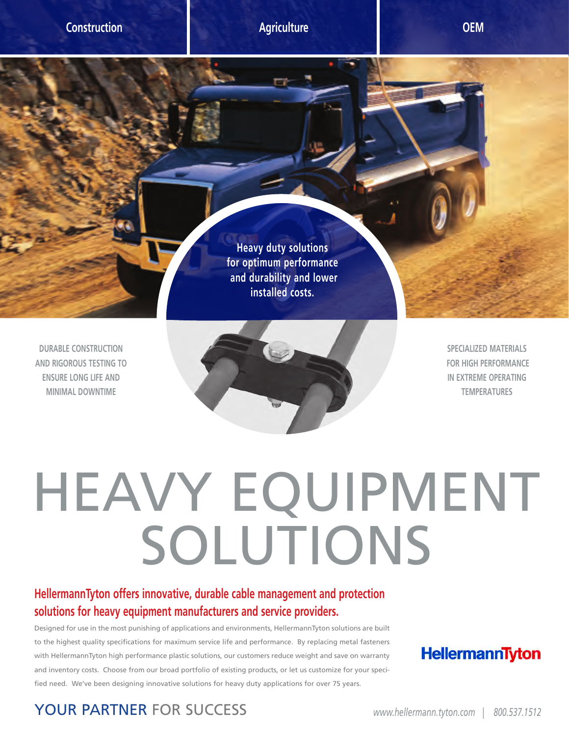**DURABLE CONSTRUCTION AND RIGOROUS TESTING TO ENSURE LONG LIFE AND MINIMAL DOWNTIME**



**Heavy duty solutions for optimum performance and durability and lower installed costs.**

> **SPECIALIZED MATERIALS FOR HIGH PERFORMANCE IN EXTREME OPERATING TEMPERATURES**

## HEAVY EQUIPMENT<br>SOLUTIONS

## **HellermannTyton offers innovative, durable cable management and protection solutions for heavy equipment manufacturers and service providers.**

Designed for use in the most punishing of applications and environments, HellermannTyton solutions are built to the highest quality specifications for maximum service life and performance. By replacing metal fasteners with HellermannTyton high performance plastic solutions, our customers reduce weight and save on warranty and inventory costs. Choose from our broad portfolio of existing products, or let us customize for your specified need. We've been designing innovative solutions for heavy duty applications for over 75 years.

## HellermannTyton

YOUR PARTNER FOR SUCCESS *www.hellermann.tyton.com | 800.537.1512*